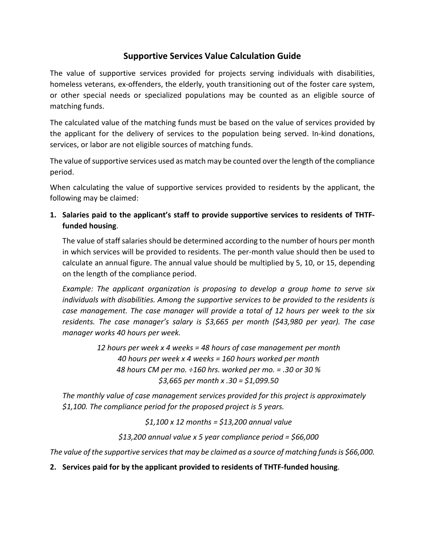## **Supportive Services Value Calculation Guide**

The value of supportive services provided for projects serving individuals with disabilities, homeless veterans, ex-offenders, the elderly, youth transitioning out of the foster care system, or other special needs or specialized populations may be counted as an eligible source of matching funds.

The calculated value of the matching funds must be based on the value of services provided by the applicant for the delivery of services to the population being served. In-kind donations, services, or labor are not eligible sources of matching funds.

The value of supportive services used as match may be counted over the length of the compliance period.

When calculating the value of supportive services provided to residents by the applicant, the following may be claimed:

**1. Salaries paid to the applicant's staff to provide supportive services to residents of THTFfunded housing**.

The value of staff salaries should be determined according to the number of hours per month in which services will be provided to residents. The per-month value should then be used to calculate an annual figure. The annual value should be multiplied by 5, 10, or 15, depending on the length of the compliance period.

*Example: The applicant organization is proposing to develop a group home to serve six individuals with disabilities. Among the supportive services to be provided to the residents is case management. The case manager will provide a total of 12 hours per week to the six residents. The case manager's salary is \$3,665 per month (\$43,980 per year). The case manager works 40 hours per week.*

> *12 hours per week x 4 weeks = 48 hours of case management per month 40 hours per week x 4 weeks = 160 hours worked per month 48 hours CM per mo. ÷160 hrs. worked per mo. = .30 or 30 % \$3,665 per month x .30 = \$1,099.50*

*The monthly value of case management services provided for this project is approximately \$1,100. The compliance period for the proposed project is 5 years.* 

*\$1,100 x 12 months = \$13,200 annual value*

*\$13,200 annual value x 5 year compliance period = \$66,000*

*The value of the supportive services that may be claimed as a source of matching funds is \$66,000.*

**2. Services paid for by the applicant provided to residents of THTF-funded housing**.